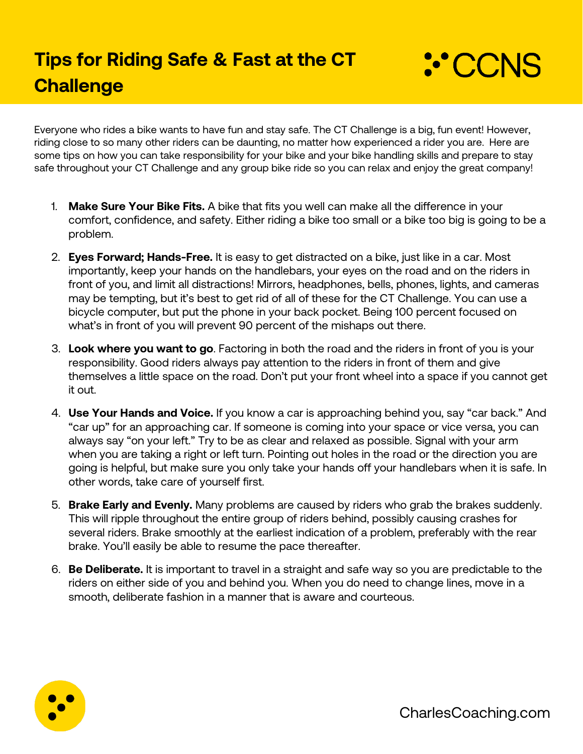

Everyone who rides a bike wants to have fun and stay safe. The CT Challenge is a big, fun event! However, riding close to so many other riders can be daunting, no matter how experienced a rider you are. Here are some tips on how you can take responsibility for your bike and your bike handling skills and prepare to stay safe throughout your CT Challenge and any group bike ride so you can relax and enjoy the great company!

- 1. **Make Sure Your Bike Fits.** A bike that fits you well can make all the difference in your comfort, confidence, and safety. Either riding a bike too small or a bike too big is going to be a problem.
- 2. **Eyes Forward; Hands-Free.** It is easy to get distracted on a bike, just like in a car. Most importantly, keep your hands on the handlebars, your eyes on the road and on the riders in front of you, and limit all distractions! Mirrors, headphones, bells, phones, lights, and cameras may be tempting, but it's best to get rid of all of these for the CT Challenge. You can use a bicycle computer, but put the phone in your back pocket. Being 100 percent focused on what's in front of you will prevent 90 percent of the mishaps out there.
- 3. **Look where you want to go**. Factoring in both the road and the riders in front of you is your responsibility. Good riders always pay attention to the riders in front of them and give themselves a little space on the road. Don't put your front wheel into a space if you cannot get it out.
- 4. **Use Your Hands and Voice.** If you know a car is approaching behind you, say "car back." And "car up" for an approaching car. If someone is coming into your space or vice versa, you can always say "on your left." Try to be as clear and relaxed as possible. Signal with your arm when you are taking a right or left turn. Pointing out holes in the road or the direction you are going is helpful, but make sure you only take your hands off your handlebars when it is safe. In other words, take care of yourself first.
- 5. **Brake Early and Evenly.** Many problems are caused by riders who grab the brakes suddenly. This will ripple throughout the entire group of riders behind, possibly causing crashes for several riders. Brake smoothly at the earliest indication of a problem, preferably with the rear brake. You'll easily be able to resume the pace thereafter.
- 6. **Be Deliberate.** It is important to travel in a straight and safe way so you are predictable to the riders on either side of you and behind you. When you do need to change lines, move in a smooth, deliberate fashion in a manner that is aware and courteous.